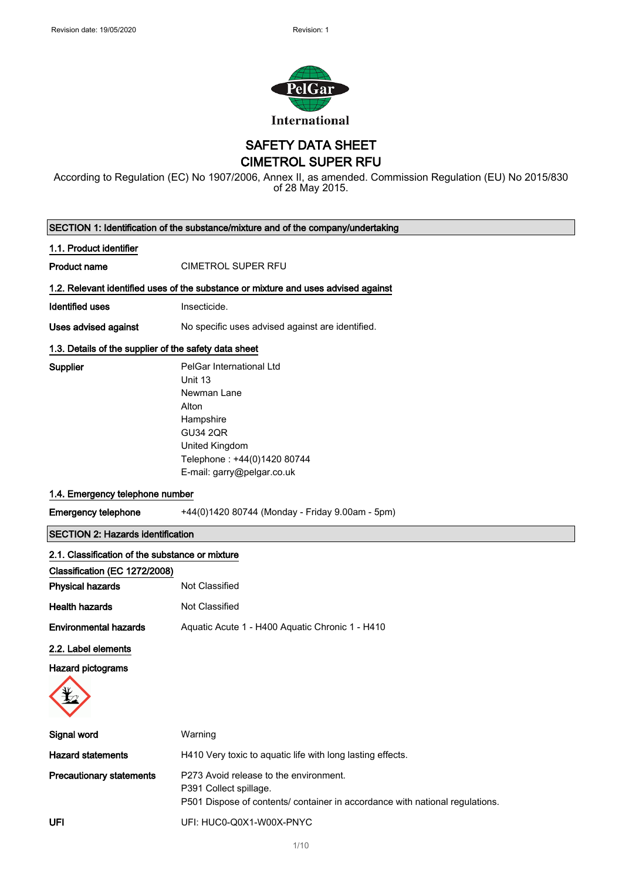

SAFETY DATA SHEET

CIMETROL SUPER RFU

According to Regulation (EC) No 1907/2006, Annex II, as amended. Commission Regulation (EU) No 2015/830 of 28 May 2015.

|                                                       | SECTION 1: Identification of the substance/mixture and of the company/undertaking                                                                                          |  |
|-------------------------------------------------------|----------------------------------------------------------------------------------------------------------------------------------------------------------------------------|--|
| 1.1. Product identifier                               |                                                                                                                                                                            |  |
| <b>Product name</b>                                   | <b>CIMETROL SUPER RFU</b>                                                                                                                                                  |  |
|                                                       | 1.2. Relevant identified uses of the substance or mixture and uses advised against                                                                                         |  |
| <b>Identified uses</b>                                | Insecticide.                                                                                                                                                               |  |
| Uses advised against                                  | No specific uses advised against are identified.                                                                                                                           |  |
| 1.3. Details of the supplier of the safety data sheet |                                                                                                                                                                            |  |
| Supplier                                              | PelGar International Ltd<br>Unit 13<br>Newman Lane<br>Alton<br>Hampshire<br><b>GU34 2QR</b><br>United Kingdom<br>Telephone: +44(0)1420 80744<br>E-mail: garry@pelgar.co.uk |  |
| 1.4. Emergency telephone number                       |                                                                                                                                                                            |  |
| <b>Emergency telephone</b>                            | +44(0)1420 80744 (Monday - Friday 9.00am - 5pm)                                                                                                                            |  |
| <b>SECTION 2: Hazards identification</b>              |                                                                                                                                                                            |  |
| 2.1. Classification of the substance or mixture       |                                                                                                                                                                            |  |
| Classification (EC 1272/2008)                         |                                                                                                                                                                            |  |
| <b>Physical hazards</b>                               | Not Classified                                                                                                                                                             |  |
| <b>Health hazards</b>                                 | Not Classified                                                                                                                                                             |  |
| <b>Environmental hazards</b>                          | Aquatic Acute 1 - H400 Aquatic Chronic 1 - H410                                                                                                                            |  |
| 2.2. Label elements                                   |                                                                                                                                                                            |  |
| Hazard pictograms                                     |                                                                                                                                                                            |  |
| Signal word                                           | Warning                                                                                                                                                                    |  |
| <b>Hazard statements</b>                              | H410 Very toxic to aquatic life with long lasting effects.                                                                                                                 |  |
| <b>Precautionary statements</b>                       | P273 Avoid release to the environment.<br>P391 Collect spillage.<br>P501 Dispose of contents/ container in accordance with national regulations.                           |  |
| UFI                                                   | UFI: HUC0-Q0X1-W00X-PNYC                                                                                                                                                   |  |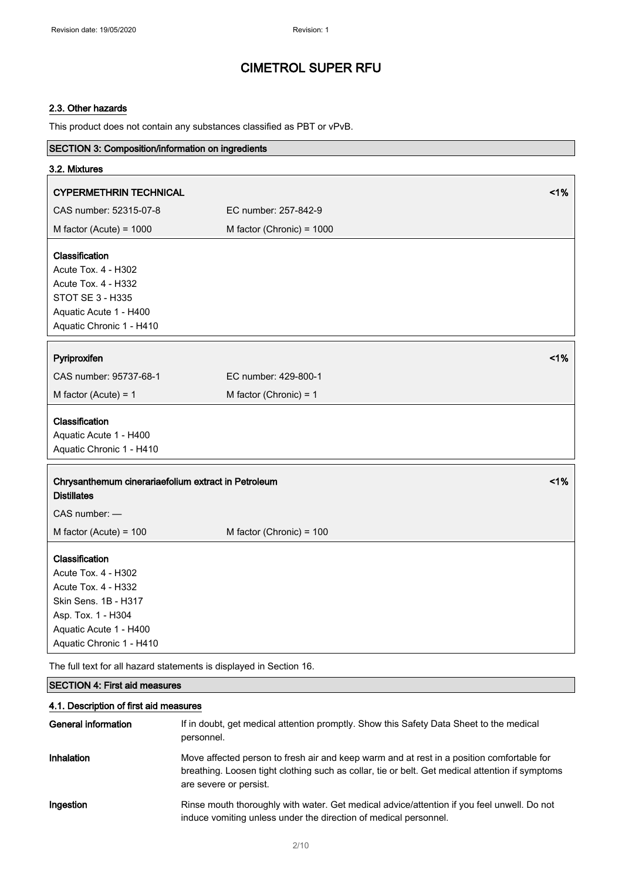### 2.3. Other hazards

This product does not contain any substances classified as PBT or vPvB.

| SECTION 3: Composition/information on ingredients                                                                                                                |                           |    |
|------------------------------------------------------------------------------------------------------------------------------------------------------------------|---------------------------|----|
| 3.2. Mixtures                                                                                                                                                    |                           |    |
| <b>CYPERMETHRIN TECHNICAL</b>                                                                                                                                    |                           | 1% |
| CAS number: 52315-07-8                                                                                                                                           | EC number: 257-842-9      |    |
| M factor (Acute) = $1000$                                                                                                                                        | M factor (Chronic) = 1000 |    |
| Classification<br>Acute Tox. 4 - H302<br><b>Acute Tox. 4 - H332</b><br><b>STOT SE 3 - H335</b><br>Aquatic Acute 1 - H400<br>Aquatic Chronic 1 - H410             |                           |    |
| Pyriproxifen                                                                                                                                                     |                           | 1% |
| CAS number: 95737-68-1                                                                                                                                           | EC number: 429-800-1      |    |
| M factor (Acute) = $1$                                                                                                                                           | M factor (Chronic) = $1$  |    |
| Classification<br>Aquatic Acute 1 - H400<br>Aquatic Chronic 1 - H410                                                                                             |                           |    |
| Chrysanthemum cinerariaefolium extract in Petroleum<br><b>Distillates</b>                                                                                        |                           | 1% |
| CAS number: -                                                                                                                                                    |                           |    |
| M factor (Acute) = $100$                                                                                                                                         | M factor (Chronic) = 100  |    |
| Classification<br>Acute Tox. 4 - H302<br>Acute Tox. 4 - H332<br>Skin Sens. 1B - H317<br>Asp. Tox. 1 - H304<br>Aquatic Acute 1 - H400<br>Aquatic Chronic 1 - H410 |                           |    |

The full text for all hazard statements is displayed in Section 16.

### SECTION 4: First aid measures

### 4.1. Description of first aid measures

| General information | If in doubt, get medical attention promptly. Show this Safety Data Sheet to the medical<br>personnel.                                                                                                                  |
|---------------------|------------------------------------------------------------------------------------------------------------------------------------------------------------------------------------------------------------------------|
| Inhalation          | Move affected person to fresh air and keep warm and at rest in a position comfortable for<br>breathing. Loosen tight clothing such as collar, tie or belt. Get medical attention if symptoms<br>are severe or persist. |
| Ingestion           | Rinse mouth thoroughly with water. Get medical advice/attention if you feel unwell. Do not<br>induce vomiting unless under the direction of medical personnel.                                                         |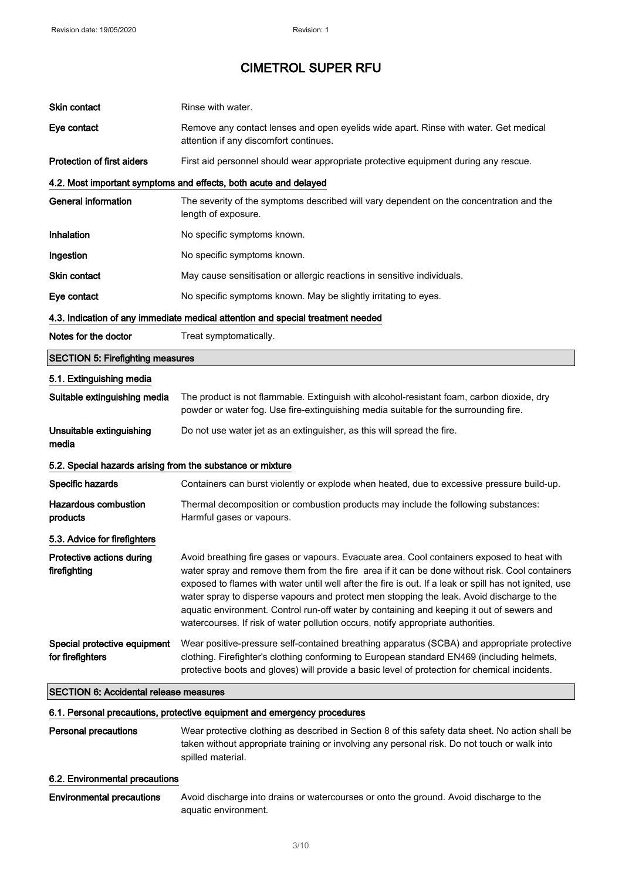| Skin contact                                               | Rinse with water.                                                                                                                                                                                                                                                                                                                                                                                                                                                                                                                                                                    |  |
|------------------------------------------------------------|--------------------------------------------------------------------------------------------------------------------------------------------------------------------------------------------------------------------------------------------------------------------------------------------------------------------------------------------------------------------------------------------------------------------------------------------------------------------------------------------------------------------------------------------------------------------------------------|--|
| Eye contact                                                | Remove any contact lenses and open eyelids wide apart. Rinse with water. Get medical<br>attention if any discomfort continues.                                                                                                                                                                                                                                                                                                                                                                                                                                                       |  |
| Protection of first aiders                                 | First aid personnel should wear appropriate protective equipment during any rescue.                                                                                                                                                                                                                                                                                                                                                                                                                                                                                                  |  |
|                                                            | 4.2. Most important symptoms and effects, both acute and delayed                                                                                                                                                                                                                                                                                                                                                                                                                                                                                                                     |  |
| <b>General information</b>                                 | The severity of the symptoms described will vary dependent on the concentration and the<br>length of exposure.                                                                                                                                                                                                                                                                                                                                                                                                                                                                       |  |
| Inhalation                                                 | No specific symptoms known.                                                                                                                                                                                                                                                                                                                                                                                                                                                                                                                                                          |  |
| Ingestion                                                  | No specific symptoms known.                                                                                                                                                                                                                                                                                                                                                                                                                                                                                                                                                          |  |
| <b>Skin contact</b>                                        | May cause sensitisation or allergic reactions in sensitive individuals.                                                                                                                                                                                                                                                                                                                                                                                                                                                                                                              |  |
| Eye contact                                                | No specific symptoms known. May be slightly irritating to eyes.                                                                                                                                                                                                                                                                                                                                                                                                                                                                                                                      |  |
|                                                            | 4.3. Indication of any immediate medical attention and special treatment needed                                                                                                                                                                                                                                                                                                                                                                                                                                                                                                      |  |
| Notes for the doctor                                       | Treat symptomatically.                                                                                                                                                                                                                                                                                                                                                                                                                                                                                                                                                               |  |
| <b>SECTION 5: Firefighting measures</b>                    |                                                                                                                                                                                                                                                                                                                                                                                                                                                                                                                                                                                      |  |
| 5.1. Extinguishing media                                   |                                                                                                                                                                                                                                                                                                                                                                                                                                                                                                                                                                                      |  |
| Suitable extinguishing media                               | The product is not flammable. Extinguish with alcohol-resistant foam, carbon dioxide, dry<br>powder or water fog. Use fire-extinguishing media suitable for the surrounding fire.                                                                                                                                                                                                                                                                                                                                                                                                    |  |
| Unsuitable extinguishing<br>media                          | Do not use water jet as an extinguisher, as this will spread the fire.                                                                                                                                                                                                                                                                                                                                                                                                                                                                                                               |  |
| 5.2. Special hazards arising from the substance or mixture |                                                                                                                                                                                                                                                                                                                                                                                                                                                                                                                                                                                      |  |
| Specific hazards                                           | Containers can burst violently or explode when heated, due to excessive pressure build-up.                                                                                                                                                                                                                                                                                                                                                                                                                                                                                           |  |
| <b>Hazardous combustion</b><br>products                    | Thermal decomposition or combustion products may include the following substances:<br>Harmful gases or vapours.                                                                                                                                                                                                                                                                                                                                                                                                                                                                      |  |
| 5.3. Advice for firefighters                               |                                                                                                                                                                                                                                                                                                                                                                                                                                                                                                                                                                                      |  |
| Protective actions during<br>firefighting                  | Avoid breathing fire gases or vapours. Evacuate area. Cool containers exposed to heat with<br>water spray and remove them from the fire area if it can be done without risk. Cool containers<br>exposed to flames with water until well after the fire is out. If a leak or spill has not ignited, use<br>water spray to disperse vapours and protect men stopping the leak. Avoid discharge to the<br>aquatic environment. Control run-off water by containing and keeping it out of sewers and<br>watercourses. If risk of water pollution occurs, notify appropriate authorities. |  |
| Special protective equipment<br>for firefighters           | Wear positive-pressure self-contained breathing apparatus (SCBA) and appropriate protective<br>clothing. Firefighter's clothing conforming to European standard EN469 (including helmets,<br>protective boots and gloves) will provide a basic level of protection for chemical incidents.                                                                                                                                                                                                                                                                                           |  |
| <b>SECTION 6: Accidental release measures</b>              |                                                                                                                                                                                                                                                                                                                                                                                                                                                                                                                                                                                      |  |
|                                                            | 6.1. Personal precautions, protective equipment and emergency procedures                                                                                                                                                                                                                                                                                                                                                                                                                                                                                                             |  |
| <b>Personal precautions</b>                                | Wear protective clothing as described in Section 8 of this safety data sheet. No action shall be<br>taken without appropriate training or involving any personal risk. Do not touch or walk into<br>spilled material.                                                                                                                                                                                                                                                                                                                                                                |  |
| 6.2. Environmental precautions                             |                                                                                                                                                                                                                                                                                                                                                                                                                                                                                                                                                                                      |  |
| <b>Environmental precautions</b>                           | Avoid discharge into drains or watercourses or onto the ground. Avoid discharge to the<br>aquatic environment.                                                                                                                                                                                                                                                                                                                                                                                                                                                                       |  |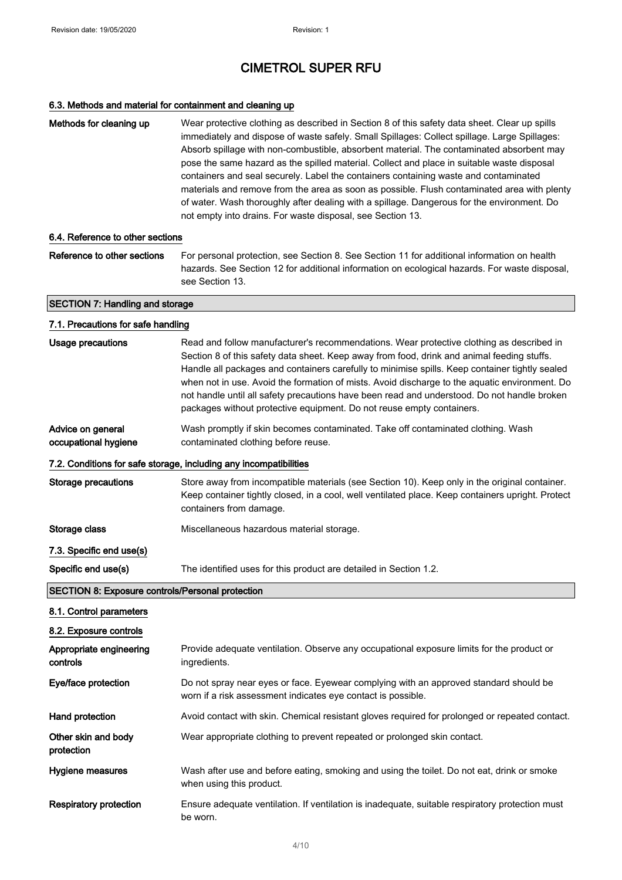### 6.3. Methods and material for containment and cleaning up

| Methods for cleaning up | Wear protective clothing as described in Section 8 of this safety data sheet. Clear up spills<br>immediately and dispose of waste safely. Small Spillages: Collect spillage. Large Spillages:<br>Absorb spillage with non-combustible, absorbent material. The contaminated absorbent may<br>pose the same hazard as the spilled material. Collect and place in suitable waste disposal<br>containers and seal securely. Label the containers containing waste and contaminated<br>materials and remove from the area as soon as possible. Flush contaminated area with plenty<br>of water. Wash thoroughly after dealing with a spillage. Dangerous for the environment. Do |
|-------------------------|------------------------------------------------------------------------------------------------------------------------------------------------------------------------------------------------------------------------------------------------------------------------------------------------------------------------------------------------------------------------------------------------------------------------------------------------------------------------------------------------------------------------------------------------------------------------------------------------------------------------------------------------------------------------------|
|                         | not empty into drains. For waste disposal, see Section 13.                                                                                                                                                                                                                                                                                                                                                                                                                                                                                                                                                                                                                   |

#### 6.4. Reference to other sections

Reference to other sections For personal protection, see Section 8. See Section 11 for additional information on health hazards. See Section 12 for additional information on ecological hazards. For waste disposal, see Section 13.

#### SECTION 7: Handling and storage

### 7.1. Precautions for safe handling Usage precautions Read and follow manufacturer's recommendations. Wear protective clothing as described in Section 8 of this safety data sheet. Keep away from food, drink and animal feeding stuffs. Handle all packages and containers carefully to minimise spills. Keep container tightly sealed when not in use. Avoid the formation of mists. Avoid discharge to the aquatic environment. Do not handle until all safety precautions have been read and understood. Do not handle broken packages without protective equipment. Do not reuse empty containers. Advice on general occupational hygiene Wash promptly if skin becomes contaminated. Take off contaminated clothing. Wash contaminated clothing before reuse. 7.2. Conditions for safe storage, including any incompatibilities Storage precautions Store away from incompatible materials (see Section 10). Keep only in the original container. Keep container tightly closed, in a cool, well ventilated place. Keep containers upright. Protect containers from damage. Storage class **Miscellaneous hazardous material storage.** 7.3. Specific end use(s) Specific end use(s) The identified uses for this product are detailed in Section 1.2. SECTION 8: Exposure controls/Personal protection 8.1. Control parameters 8.2. Exposure controls Appropriate engineering controls Provide adequate ventilation. Observe any occupational exposure limits for the product or ingredients. Eye/face protection **Do not spray near eyes or face.** Eyewear complying with an approved standard should be worn if a risk assessment indicates eye contact is possible. Hand protection **Avoid contact with skin. Chemical resistant gloves required for prolonged or repeated contact.** Other skin and body protection Wear appropriate clothing to prevent repeated or prolonged skin contact. Hygiene measures Wash after use and before eating, smoking and using the toilet. Do not eat, drink or smoke when using this product. Respiratory protection Ensure adequate ventilation. If ventilation is inadequate, suitable respiratory protection must be worn.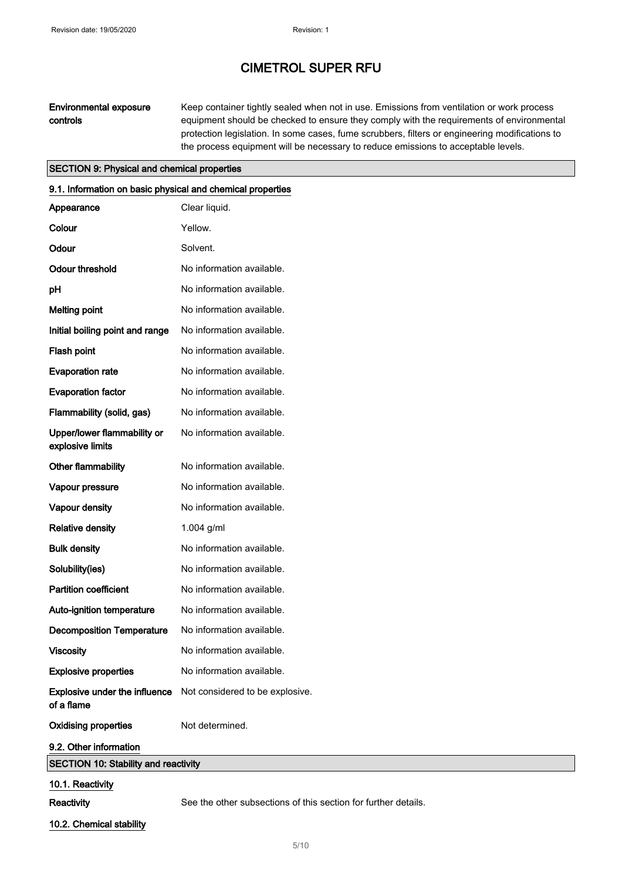### Environmental exposure controls

Keep container tightly sealed when not in use. Emissions from ventilation or work process equipment should be checked to ensure they comply with the requirements of environmental protection legislation. In some cases, fume scrubbers, filters or engineering modifications to the process equipment will be necessary to reduce emissions to acceptable levels.

### SECTION 9: Physical and chemical properties

| 9.1. Information on basic physical and chemical properties |                                 |
|------------------------------------------------------------|---------------------------------|
| Appearance                                                 | Clear liquid.                   |
| Colour                                                     | Yellow.                         |
| Odour                                                      | Solvent.                        |
| <b>Odour threshold</b>                                     | No information available.       |
| pH                                                         | No information available.       |
| <b>Melting point</b>                                       | No information available.       |
| Initial boiling point and range                            | No information available.       |
| Flash point                                                | No information available.       |
| <b>Evaporation rate</b>                                    | No information available.       |
| <b>Evaporation factor</b>                                  | No information available.       |
| Flammability (solid, gas)                                  | No information available.       |
| Upper/lower flammability or<br>explosive limits            | No information available.       |
| Other flammability                                         | No information available.       |
| Vapour pressure                                            | No information available.       |
| Vapour density                                             | No information available.       |
| <b>Relative density</b>                                    | 1.004 $g/ml$                    |
| <b>Bulk density</b>                                        | No information available.       |
| Solubility(ies)                                            | No information available.       |
| <b>Partition coefficient</b>                               | No information available.       |
| Auto-ignition temperature                                  | No information available.       |
| <b>Decomposition Temperature</b>                           | No information available.       |
| <b>Viscosity</b>                                           | No information available.       |
| <b>Explosive properties</b>                                | No information available.       |
| Explosive under the influence<br>of a flame                | Not considered to be explosive. |
| <b>Oxidising properties</b>                                | Not determined.                 |
| 9.2. Other information                                     |                                 |
| <b>SECTION 10: Stability and reactivity</b>                |                                 |
| 10.1. Reactivity                                           |                                 |

Reactivity See the other subsections of this section for further details.

10.2. Chemical stability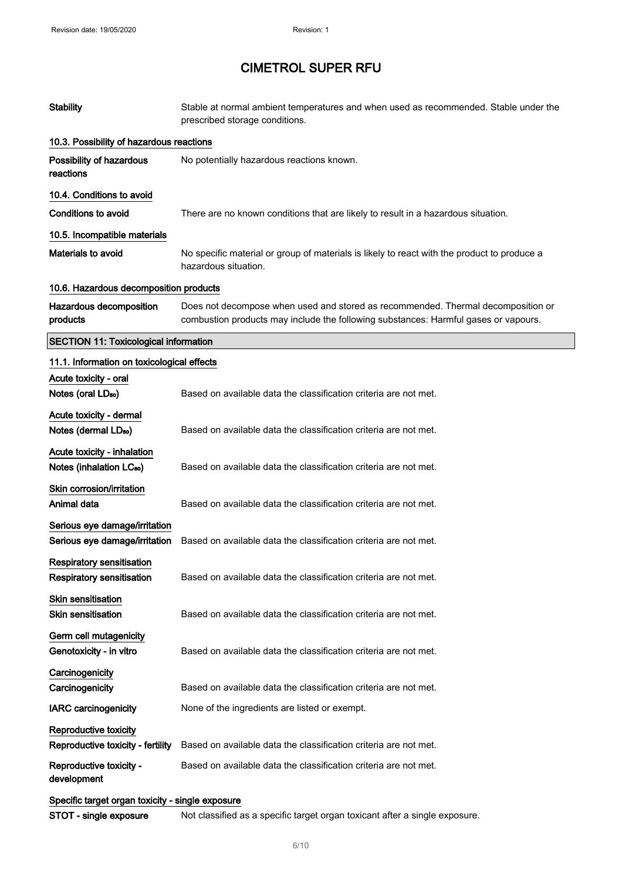| <b>Stability</b>                                               | Stable at normal ambient temperatures and when used as recommended. Stable under the<br>prescribed storage conditions.                                                  |
|----------------------------------------------------------------|-------------------------------------------------------------------------------------------------------------------------------------------------------------------------|
| 10.3. Possibility of hazardous reactions                       |                                                                                                                                                                         |
| Possibility of hazardous<br>reactions                          | No potentially hazardous reactions known.                                                                                                                               |
| 10.4. Conditions to avoid                                      |                                                                                                                                                                         |
| <b>Conditions to avoid</b>                                     | There are no known conditions that are likely to result in a hazardous situation.                                                                                       |
| 10.5. Incompatible materials                                   |                                                                                                                                                                         |
| <b>Materials to avoid</b>                                      | No specific material or group of materials is likely to react with the product to produce a<br>hazardous situation.                                                     |
| 10.6. Hazardous decomposition products                         |                                                                                                                                                                         |
| Hazardous decomposition<br>products                            | Does not decompose when used and stored as recommended. Thermal decomposition or<br>combustion products may include the following substances: Harmful gases or vapours. |
| <b>SECTION 11: Toxicological information</b>                   |                                                                                                                                                                         |
| 11.1. Information on toxicological effects                     |                                                                                                                                                                         |
| Acute toxicity - oral                                          |                                                                                                                                                                         |
| Notes (oral LD <sub>50</sub> )                                 | Based on available data the classification criteria are not met.                                                                                                        |
| Acute toxicity - dermal                                        |                                                                                                                                                                         |
| Notes (dermal LD <sub>50</sub> )                               | Based on available data the classification criteria are not met.                                                                                                        |
| Acute toxicity - inhalation                                    |                                                                                                                                                                         |
| Notes (inhalation LC <sub>50</sub> )                           | Based on available data the classification criteria are not met.                                                                                                        |
| Skin corrosion/irritation<br>Animal data                       | Based on available data the classification criteria are not met.                                                                                                        |
| Serious eye damage/irritation<br>Serious eye damage/irritation | Based on available data the classification criteria are not met.                                                                                                        |
| <b>Respiratory sensitisation</b>                               |                                                                                                                                                                         |
| <b>Respiratory sensitisation</b>                               | Based on available data the classification criteria are not met.                                                                                                        |
| <b>Skin sensitisation</b><br><b>Skin sensitisation</b>         | Based on available data the classification criteria are not met.                                                                                                        |
| Germ cell mutagenicity<br>Genotoxicity - in vitro              | Based on available data the classification criteria are not met.                                                                                                        |
| Carcinogenicity                                                |                                                                                                                                                                         |
| Carcinogenicity                                                | Based on available data the classification criteria are not met.                                                                                                        |
| <b>IARC carcinogenicity</b>                                    | None of the ingredients are listed or exempt.                                                                                                                           |
| Reproductive toxicity                                          |                                                                                                                                                                         |
| Reproductive toxicity - fertility                              | Based on available data the classification criteria are not met.                                                                                                        |
| Reproductive toxicity -<br>development                         | Based on available data the classification criteria are not met.                                                                                                        |
| Specific target organ toxicity - single exposure               |                                                                                                                                                                         |

STOT - single exposure Not classified as a specific target organ toxicant after a single exposure.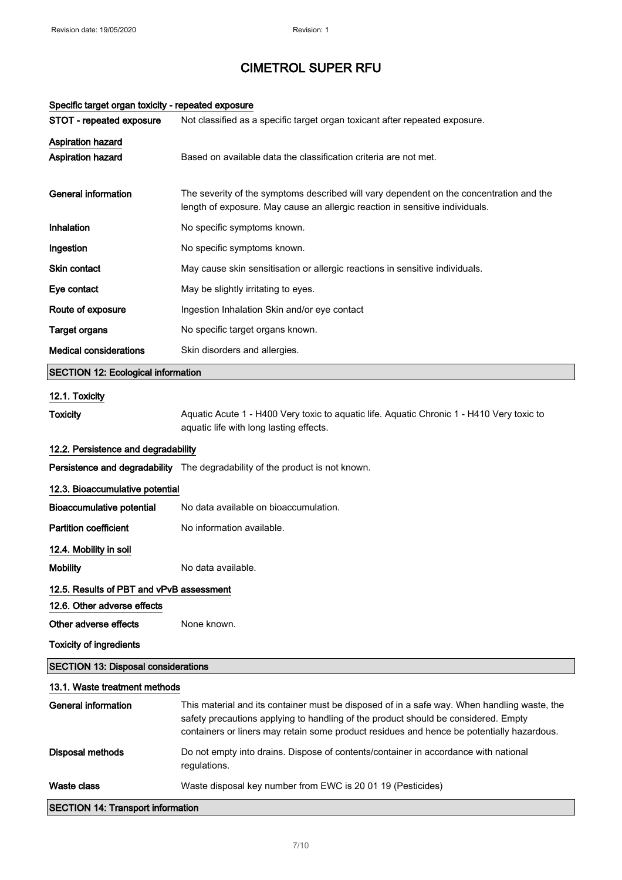| Specific target organ toxicity - repeated exposure |                                                                                                                                                                                                                                                                                |  |
|----------------------------------------------------|--------------------------------------------------------------------------------------------------------------------------------------------------------------------------------------------------------------------------------------------------------------------------------|--|
| STOT - repeated exposure                           | Not classified as a specific target organ toxicant after repeated exposure.                                                                                                                                                                                                    |  |
| <b>Aspiration hazard</b><br>Aspiration hazard      | Based on available data the classification criteria are not met.                                                                                                                                                                                                               |  |
| <b>General information</b>                         | The severity of the symptoms described will vary dependent on the concentration and the<br>length of exposure. May cause an allergic reaction in sensitive individuals.                                                                                                        |  |
| <b>Inhalation</b>                                  | No specific symptoms known.                                                                                                                                                                                                                                                    |  |
| Ingestion                                          | No specific symptoms known.                                                                                                                                                                                                                                                    |  |
| Skin contact                                       | May cause skin sensitisation or allergic reactions in sensitive individuals.                                                                                                                                                                                                   |  |
| Eye contact                                        | May be slightly irritating to eyes.                                                                                                                                                                                                                                            |  |
| Route of exposure                                  | Ingestion Inhalation Skin and/or eye contact                                                                                                                                                                                                                                   |  |
| <b>Target organs</b>                               | No specific target organs known.                                                                                                                                                                                                                                               |  |
| <b>Medical considerations</b>                      | Skin disorders and allergies.                                                                                                                                                                                                                                                  |  |
| <b>SECTION 12: Ecological information</b>          |                                                                                                                                                                                                                                                                                |  |
| 12.1. Toxicity                                     |                                                                                                                                                                                                                                                                                |  |
| <b>Toxicity</b>                                    | Aquatic Acute 1 - H400 Very toxic to aquatic life. Aquatic Chronic 1 - H410 Very toxic to<br>aquatic life with long lasting effects.                                                                                                                                           |  |
| 12.2. Persistence and degradability                |                                                                                                                                                                                                                                                                                |  |
|                                                    | Persistence and degradability The degradability of the product is not known.                                                                                                                                                                                                   |  |
| 12.3. Bioaccumulative potential                    |                                                                                                                                                                                                                                                                                |  |
| <b>Bioaccumulative potential</b>                   | No data available on bioaccumulation.                                                                                                                                                                                                                                          |  |
| <b>Partition coefficient</b>                       | No information available.                                                                                                                                                                                                                                                      |  |
| 12.4. Mobility in soil                             |                                                                                                                                                                                                                                                                                |  |
| <b>Mobility</b>                                    | No data available.                                                                                                                                                                                                                                                             |  |
| 12.5. Results of PBT and vPvB assessment           |                                                                                                                                                                                                                                                                                |  |
| 12.6. Other adverse effects                        |                                                                                                                                                                                                                                                                                |  |
| Other adverse effects                              | None known.                                                                                                                                                                                                                                                                    |  |
| <b>Toxicity of ingredients</b>                     |                                                                                                                                                                                                                                                                                |  |
| <b>SECTION 13: Disposal considerations</b>         |                                                                                                                                                                                                                                                                                |  |
| 13.1. Waste treatment methods                      |                                                                                                                                                                                                                                                                                |  |
| <b>General information</b>                         | This material and its container must be disposed of in a safe way. When handling waste, the<br>safety precautions applying to handling of the product should be considered. Empty<br>containers or liners may retain some product residues and hence be potentially hazardous. |  |
| <b>Disposal methods</b>                            | Do not empty into drains. Dispose of contents/container in accordance with national<br>regulations.                                                                                                                                                                            |  |
| Waste class                                        | Waste disposal key number from EWC is 20 01 19 (Pesticides)                                                                                                                                                                                                                    |  |
| <b>SECTION 14: Transport information</b>           |                                                                                                                                                                                                                                                                                |  |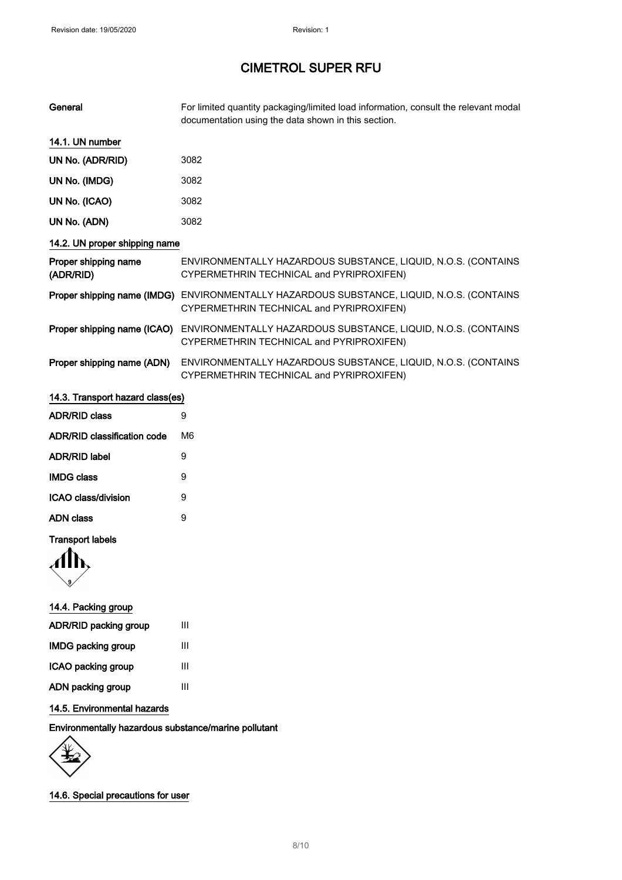| General                            | For limited quantity packaging/limited load information, consult the relevant modal<br>documentation using the data shown in this section. |
|------------------------------------|--------------------------------------------------------------------------------------------------------------------------------------------|
| 14.1. UN number                    |                                                                                                                                            |
| UN No. (ADR/RID)                   | 3082                                                                                                                                       |
| UN No. (IMDG)                      | 3082                                                                                                                                       |
| UN No. (ICAO)                      | 3082                                                                                                                                       |
| UN No. (ADN)                       | 3082                                                                                                                                       |
| 14.2. UN proper shipping name      |                                                                                                                                            |
| Proper shipping name<br>(ADR/RID)  | ENVIRONMENTALLY HAZARDOUS SUBSTANCE, LIQUID, N.O.S. (CONTAINS<br>CYPERMETHRIN TECHNICAL and PYRIPROXIFEN)                                  |
|                                    | Proper shipping name (IMDG) ENVIRONMENTALLY HAZARDOUS SUBSTANCE, LIQUID, N.O.S. (CONTAINS<br>CYPERMETHRIN TECHNICAL and PYRIPROXIFEN)      |
| Proper shipping name (ICAO)        | ENVIRONMENTALLY HAZARDOUS SUBSTANCE, LIQUID, N.O.S. (CONTAINS<br>CYPERMETHRIN TECHNICAL and PYRIPROXIFEN)                                  |
| Proper shipping name (ADN)         | ENVIRONMENTALLY HAZARDOUS SUBSTANCE, LIQUID, N.O.S. (CONTAINS<br>CYPERMETHRIN TECHNICAL and PYRIPROXIFEN)                                  |
| 14.3. Transport hazard class(es)   |                                                                                                                                            |
| <b>ADR/RID class</b>               | 9                                                                                                                                          |
| <b>ADR/RID classification code</b> | M <sub>6</sub>                                                                                                                             |
| <b>ADR/RID label</b>               | 9                                                                                                                                          |
| <b>IMDG class</b>                  | 9                                                                                                                                          |
| <b>ICAO class/division</b>         | 9                                                                                                                                          |

### Transport labels

AN

| 14.4. Packing group       |   |
|---------------------------|---|
| ADR/RID packing group     | Ш |
| <b>IMDG packing group</b> | Ш |
| ICAO packing group        | ш |
| ADN packing group         | Ш |
|                           |   |

ADN class 9

### 14.5. Environmental hazards

Environmentally hazardous substance/marine pollutant

14.6. Special precautions for user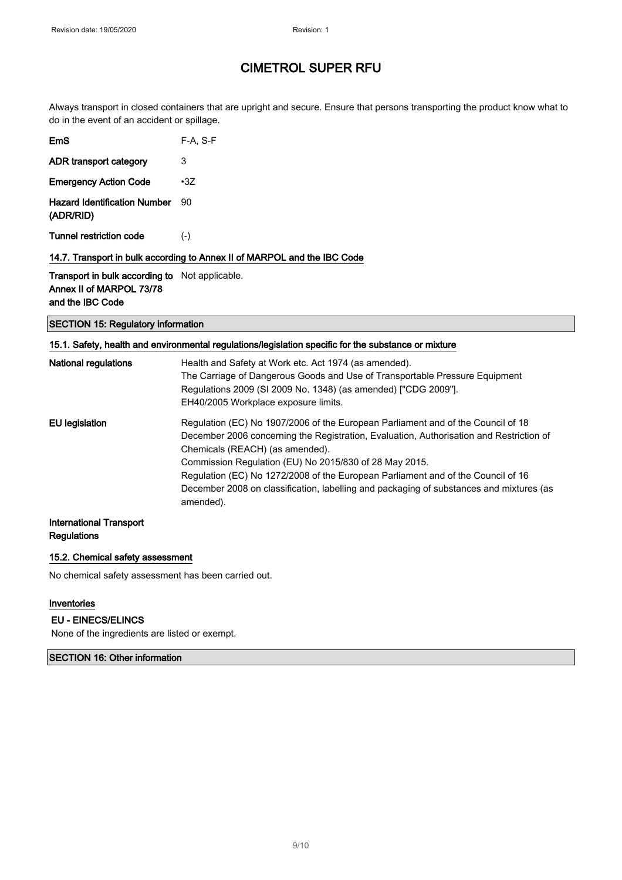Always transport in closed containers that are upright and secure. Ensure that persons transporting the product know what to do in the event of an accident or spillage.

|                                                  | 14.7. Transport in bulk according to Annex II of MARPOL and the IBC Code |
|--------------------------------------------------|--------------------------------------------------------------------------|
| Tunnel restriction code                          | $(-)$                                                                    |
| <b>Hazard Identification Number</b><br>(ADR/RID) | 90                                                                       |
| <b>Emergency Action Code</b>                     | $\cdot$ 3Z                                                               |
| ADR transport category                           | 3                                                                        |
| EmS                                              | F-A. S-F                                                                 |

Transport in bulk according to Not applicable. Annex II of MARPOL 73/78 and the IBC Code

### SECTION 15: Regulatory information

|                             | 15.1. Safety, health and environmental regulations/legislation specific for the substance or mixture                                                                                                                                                                                                                                                                                                                                                                 |
|-----------------------------|----------------------------------------------------------------------------------------------------------------------------------------------------------------------------------------------------------------------------------------------------------------------------------------------------------------------------------------------------------------------------------------------------------------------------------------------------------------------|
| <b>National regulations</b> | Health and Safety at Work etc. Act 1974 (as amended).<br>The Carriage of Dangerous Goods and Use of Transportable Pressure Equipment<br>Regulations 2009 (SI 2009 No. 1348) (as amended) ["CDG 2009"].<br>EH40/2005 Workplace exposure limits.                                                                                                                                                                                                                       |
| <b>EU</b> legislation       | Regulation (EC) No 1907/2006 of the European Parliament and of the Council of 18<br>December 2006 concerning the Registration, Evaluation, Authorisation and Restriction of<br>Chemicals (REACH) (as amended).<br>Commission Regulation (EU) No 2015/830 of 28 May 2015.<br>Regulation (EC) No 1272/2008 of the European Parliament and of the Council of 16<br>December 2008 on classification, labelling and packaging of substances and mixtures (as<br>amended). |
| International Transport     |                                                                                                                                                                                                                                                                                                                                                                                                                                                                      |

### **Regulations**

#### 15.2. Chemical safety assessment

No chemical safety assessment has been carried out.

#### Inventories

#### EU - EINECS/ELINCS

None of the ingredients are listed or exempt.

SECTION 16: Other information